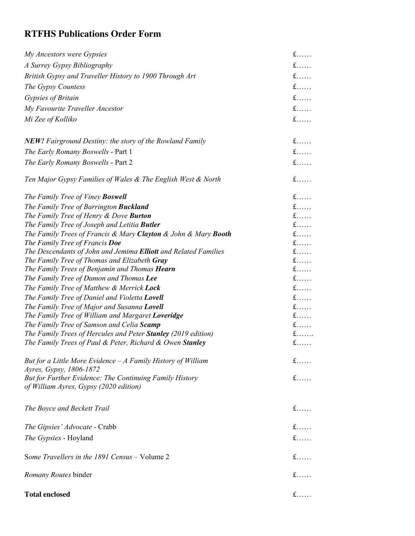## **RTFHS Publications Order Form**

| My Ancestors were Gypsies                                                                         | $f$        |
|---------------------------------------------------------------------------------------------------|------------|
| A Surrey Gypsy Bibliography                                                                       | $f$        |
| British Gypsy and Traveller History to 1900 Through Art                                           | $f$        |
| The Gypsy Countess                                                                                | $f$        |
| Gypsies of Britain                                                                                | $f$        |
| My Favourite Traveller Ancestor                                                                   | $f$        |
| Mi Zee of Kolliko                                                                                 | $f$        |
|                                                                                                   |            |
| <b>NEW!</b> Fairground Destiny: the story of the Rowland Family                                   | $f$        |
| The Early Romany Boswells - Part 1                                                                | $f$        |
| The Early Romany Boswells - Part 2                                                                | $f$        |
|                                                                                                   |            |
| Ten Major Gypsy Families of Wales & The English West & North                                      | $f$        |
| The Family Tree of Viney <b>Boswell</b>                                                           | $f$        |
| The Family Tree of Barrington <b>Buckland</b>                                                     | $f$        |
| The Family Tree of Henry & Dove Burton                                                            | $f$        |
| The Family Tree of Joseph and Letitia <b>Butler</b>                                               | $f$        |
| The Family Trees of Francis & Mary Clayton & John & Mary Booth                                    | $f$        |
| The Family Tree of Francis Doe<br>The Descendants of John and Jemima Elliott and Related Families | $f$<br>$f$ |
| The Family Tree of Thomas and Elizabeth Gray                                                      | $f$        |
| The Family Trees of Benjamin and Thomas Hearn                                                     | $f$        |
| The Family Tree of Damon and Thomas Lee                                                           | $f$        |
| The Family Tree of Matthew & Merrick Lock                                                         | $f$        |
| The Family Tree of Daniel and Violetta Lovell                                                     | $f$        |
| The Family Tree of Major and Susanna Lovell                                                       | $f$        |
| The Family Tree of William and Margaret Loveridge                                                 | $f$        |
| The Family Tree of Samson and Celia Scamp                                                         | $f$        |
| The Family Trees of Hercules and Peter Stanley (2019 edition)                                     | $f$        |
| The Family Trees of Paul & Peter, Richard & Owen Stanley                                          | $f$        |
| But for a Little More Evidence $-A$ Family History of William                                     | $f$        |
| Ayres, Gypsy, 1806-1872                                                                           |            |
| But for Further Evidence: The Continuing Family History                                           | $f$        |
| of William Ayres, Gypsy (2020 edition)                                                            |            |
| The Boyce and Beckett Trail                                                                       | $f$        |
|                                                                                                   |            |
| The Gipsies' Advocate - Crabb                                                                     | $f$        |
| The Gypsies - Hoyland                                                                             | $f$        |
| Some Travellers in the 1891 Census - Volume 2                                                     | $f$        |
| Romany Routes binder                                                                              | $f$        |
| <b>Total enclosed</b>                                                                             | $f$        |